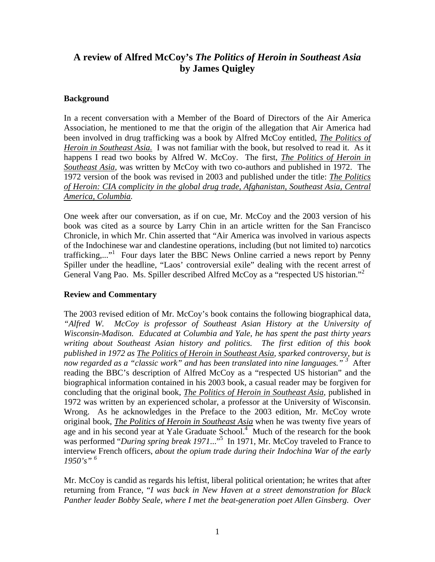## **A review of Alfred McCoy's** *The Politics of Heroin in Southeast Asia* **by James Quigley**

## **Background**

In a recent conversation with a Member of the Board of Directors of the Air America Association, he mentioned to me that the origin of the allegation that Air America had been involved in drug trafficking was a book by Alfred McCoy entitled, *The Politics of Heroin in Southeast Asia.* I was not familiar with the book, but resolved to read it. As it happens I read two books by Alfred W. McCoy. The first, *The Politics of Heroin in Southeast Asia*, was written by McCoy with two co-authors and published in 1972. The 1972 version of the book was revised in 2003 and published under the title: *The Politics of Heroin: CIA complicity in the global drug trade, Afghanistan, Southeast Asia, Central America, Columbia.* 

One week after our conversation, as if on cue, Mr. McCoy and the 2003 version of his book was cited as a source by Larry Chin in an article written for the San Francisco Chronicle, in which Mr. Chin asserted that "Air America was involved in various aspects of the Indochinese war and clandestine operations, including (but not limited to) narcotics trafficking,..."<sup>1</sup> Four days later the BBC News Online carried a news report by Penny Spiller under the headline, "Laos' controversial exile" dealing with the recent arrest of General Vang Pao. Ms. Spiller described Alfred McCoy as a "respected US historian."<sup>2</sup>

## **Review and Commentary**

The 2003 revised edition of Mr. McCoy's book contains the following biographical data, *"Alfred W. McCoy is professor of Southeast Asian History at the University of Wisconsin-Madison. Educated at Columbia and Yale, he has spent the past thirty years writing about Southeast Asian history and politics. The first edition of this book published in 1972 as The Politics of Heroin in Southeast Asia, sparked controversy, but is now regarded as a "classic work" and has been translated into nine languages." <sup>3</sup>* After reading the BBC's description of Alfred McCoy as a "respected US historian" and the biographical information contained in his 2003 book, a casual reader may be forgiven for concluding that the original book, *The Politics of Heroin in Southeast Asia*, published in 1972 was written by an experienced scholar, a professor at the University of Wisconsin. Wrong. As he acknowledges in the Preface to the 2003 edition, Mr. McCoy wrote original book, *The Politics of Heroin in Southeast Asia* when he was twenty five years of age and in his second year at Yale Graduate School.<sup>4</sup> Much of the research for the book was performed "During spring break 1971..."<sup>5</sup> In 1971, Mr. McCoy traveled to France to interview French officers, *about the opium trade during their Indochina War of the early 1950's" <sup>6</sup>*

Mr. McCoy is candid as regards his leftist, liberal political orientation; he writes that after returning from France, "*I was back in New Haven at a street demonstration for Black Panther leader Bobby Seale, where I met the beat-generation poet Allen Ginsberg. Over*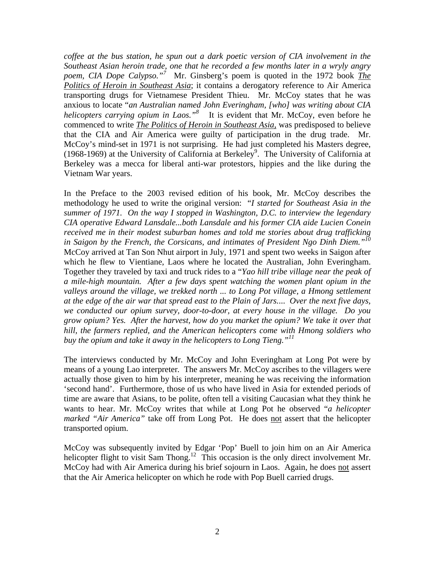*coffee at the bus station, he spun out a dark poetic version of CIA involvement in the Southeast Asian heroin trade, one that he recorded a few months later in a wryly angry poem, CIA Dope Calypso."<sup>7</sup>* Mr. Ginsberg's poem is quoted in the 1972 book *The Politics of Heroin in Southeast Asia*; it contains a derogatory reference to Air America transporting drugs for Vietnamese President Thieu. Mr. McCoy states that he was anxious to locate "*an Australian named John Everingham, [who] was writing about CIA helicopters carrying opium in Laos."<sup>8</sup>* It is evident that Mr. McCoy, even before he commenced to write *The Politics of Heroin in Southeast Asia,* was predisposed to believe that the CIA and Air America were guilty of participation in the drug trade. Mr. McCoy's mind-set in 1971 is not surprising. He had just completed his Masters degree, (1968-1969) at the University of California at Berkeley<sup>9</sup>. The University of California at Berkeley was a mecca for liberal anti-war protestors, hippies and the like during the Vietnam War years.

In the Preface to the 2003 revised edition of his book, Mr. McCoy describes the methodology he used to write the original version: "*I started for Southeast Asia in the summer of 1971. On the way I stopped in Washington, D.C. to interview the legendary CIA operative Edward Lansdale...both Lansdale and his former CIA aide Lucien Conein received me in their modest suburban homes and told me stories about drug trafficking in Saigon by the French, the Corsicans, and intimates of President Ngo Dinh Diem."10* McCoy arrived at Tan Son Nhut airport in July, 1971 and spent two weeks in Saigon after which he flew to Vientiane, Laos where he located the Australian, John Everingham. Together they traveled by taxi and truck rides to a "*Yao hill tribe village near the peak of a mile-high mountain. After a few days spent watching the women plant opium in the*  valleys around the village, we trekked north ... to Long Pot village, a Hmong settlement *at the edge of the air war that spread east to the Plain of Jars.*... *Over the next five days, we conducted our opium survey, door-to-door, at every house in the village. Do you grow opium? Yes. After the harvest, how do you market the opium? We take it over that hill, the farmers replied, and the American helicopters come with Hmong soldiers who buy the opium and take it away in the helicopters to Long Tieng."11*

The interviews conducted by Mr. McCoy and John Everingham at Long Pot were by means of a young Lao interpreter*.* The answers Mr. McCoy ascribes to the villagers were actually those given to him by his interpreter, meaning he was receiving the information 'second hand'. Furthermore, those of us who have lived in Asia for extended periods of time are aware that Asians, to be polite, often tell a visiting Caucasian what they think he wants to hear. Mr. McCoy writes that while at Long Pot he observed "*a helicopter marked "Air America"* take off from Long Pot. He does not assert that the helicopter transported opium.

McCoy was subsequently invited by Edgar 'Pop' Buell to join him on an Air America helicopter flight to visit Sam Thong.<sup>12</sup> This occasion is the only direct involvement Mr. McCoy had with Air America during his brief sojourn in Laos. Again, he does not assert that the Air America helicopter on which he rode with Pop Buell carried drugs.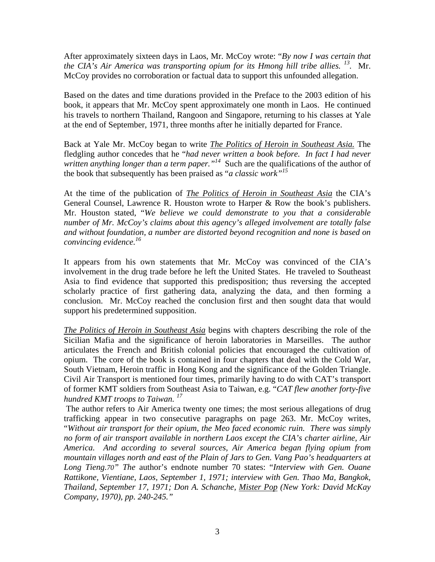After approximately sixteen days in Laos, Mr. McCoy wrote: "*By now I was certain that the CIA's Air America was transporting opium for its Hmong hill tribe allies. 13.* Mr. McCoy provides no corroboration or factual data to support this unfounded allegation.

Based on the dates and time durations provided in the Preface to the 2003 edition of his book, it appears that Mr. McCoy spent approximately one month in Laos. He continued his travels to northern Thailand, Rangoon and Singapore, returning to his classes at Yale at the end of September, 1971, three months after he initially departed for France.

Back at Yale Mr. McCoy began to write *The Politics of Heroin in Southeast Asia.* The fledgling author concedes that he "*had never written a book before. In fact I had never written anything longer than a term paper.*"<sup>14</sup> Such are the qualifications of the author of the book that subsequently has been praised as "*a classic work"15*

At the time of the publication of *The Politics of Heroin in Southeast Asia* the CIA's General Counsel, Lawrence R. Houston wrote to Harper & Row the book's publishers. Mr. Houston stated, "*We believe we could demonstrate to you that a considerable number of Mr. McCoy's claims about this agency's alleged involvement are totally false and without foundation, a number are distorted beyond recognition and none is based on convincing evidence.16*

It appears from his own statements that Mr. McCoy was convinced of the CIA's involvement in the drug trade before he left the United States. He traveled to Southeast Asia to find evidence that supported this predisposition; thus reversing the accepted scholarly practice of first gathering data, analyzing the data, and then forming a conclusion. Mr. McCoy reached the conclusion first and then sought data that would support his predetermined supposition.

*The Politics of Heroin in Southeast Asia* begins with chapters describing the role of the Sicilian Mafia and the significance of heroin laboratories in Marseilles. The author articulates the French and British colonial policies that encouraged the cultivation of opium. The core of the book is contained in four chapters that deal with the Cold War, South Vietnam, Heroin traffic in Hong Kong and the significance of the Golden Triangle. Civil Air Transport is mentioned four times, primarily having to do with CAT's transport of former KMT soldiers from Southeast Asia to Taiwan, e.g. "*CAT flew another forty-five hundred KMT troops to Taiwan. <sup>17</sup>*

 The author refers to Air America twenty one times; the most serious allegations of drug trafficking appear in two consecutive paragraphs on page 263. Mr. McCoy writes, "*Without air transport for their opium, the Meo faced economic ruin. There was simply no form of air transport available in northern Laos except the CIA's charter airline, Air America. And according to several sources, Air America began flying opium from mountain villages north and east of the Plain of Jars to Gen. Vang Pao's headquarters at Long Tieng.70" The* author's endnote number 70 states: "*Interview with Gen. Ouane Rattikone, Vientiane, Laos, September 1, 1971; interview with Gen. Thao Ma, Bangkok, Thailand, September 17, 1971; Don A. Schanche, Mister Pop (New York: David McKay Company, 1970), pp. 240-245."*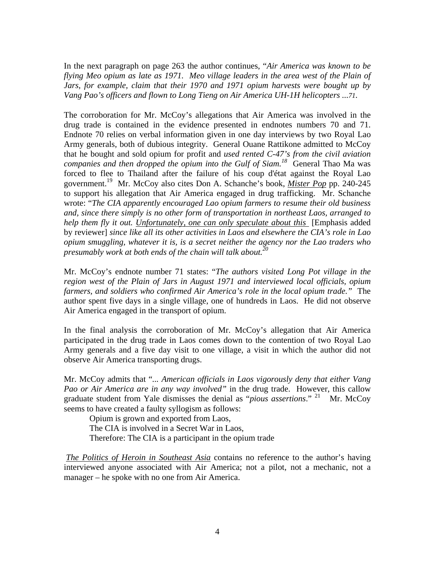In the next paragraph on page 263 the author continues, "*Air America was known to be flying Meo opium as late as 1971. Meo village leaders in the area west of the Plain of Jars, for example, claim that their 1970 and 1971 opium harvests were bought up by Vang Pao's officers and flown to Long Tieng on Air America UH-1H helicopters ...71.* 

The corroboration for Mr. McCoy's allegations that Air America was involved in the drug trade is contained in the evidence presented in endnotes numbers 70 and 71. Endnote 70 relies on verbal information given in one day interviews by two Royal Lao Army generals, both of dubious integrity. General Ouane Rattikone admitted to McCoy that he bought and sold opium for profit and *used rented C-47's from the civil aviation companies and then dropped the opium into the Gulf of Siam.<sup>18</sup>* General Thao Ma was forced to flee to Thailand after the failure of his coup d'état against the Royal Lao government.19 Mr. McCoy also cites Don A. Schanche's book, *Mister Pop* pp. 240-245 to support his allegation that Air America engaged in drug trafficking. Mr. Schanche wrote: "*The CIA apparently encouraged Lao opium farmers to resume their old business and, since there simply is no other form of transportation in northeast Laos, arranged to help them fly it out. Unfortunately, one can only speculate about this* [Emphasis added by reviewer] *since like all its other activities in Laos and elsewhere the CIA's role in Lao opium smuggling, whatever it is, is a secret neither the agency nor the Lao traders who presumably work at both ends of the chain will talk about.20*

Mr. McCoy's endnote number 71 states: "*The authors visited Long Pot village in the region west of the Plain of Jars in August 1971 and interviewed local officials, opium farmers, and soldiers who confirmed Air America's role in the local opium trade."* The author spent five days in a single village, one of hundreds in Laos. He did not observe Air America engaged in the transport of opium.

In the final analysis the corroboration of Mr. McCoy's allegation that Air America participated in the drug trade in Laos comes down to the contention of two Royal Lao Army generals and a five day visit to one village, a visit in which the author did not observe Air America transporting drugs.

Mr. McCoy admits that "*... American officials in Laos vigorously deny that either Vang Pao or Air America are in any way involved"* in the drug trade. However, this callow graduate student from Yale dismisses the denial as "*pious assertions*." 21 Mr. McCoy seems to have created a faulty syllogism as follows:

 Opium is grown and exported from Laos, The CIA is involved in a Secret War in Laos, Therefore: The CIA is a participant in the opium trade

*The Politics of Heroin in Southeast Asia* contains no reference to the author's having interviewed anyone associated with Air America; not a pilot, not a mechanic, not a manager – he spoke with no one from Air America.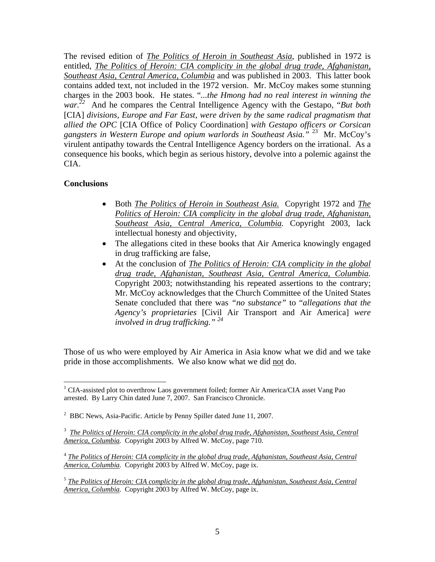The revised edition of *The Politics of Heroin in Southeast Asia*, published in 1972 is entitled, *The Politics of Heroin: CIA complicity in the global drug trade, Afghanistan, Southeast Asia, Central America, Columbia* and was published in 2003. This latter book contains added text, not included in the 1972 version. Mr. McCoy makes some stunning charges in the 2003 book. He states. "*...the Hmong had no real interest in winning the war. <sup>22</sup>* And he compares the Central Intelligence Agency with the Gestapo, "*But both*  [CIA] *divisions, Europe and Far East, were driven by the same radical pragmatism that allied the OPC* [CIA Office of Policy Coordination] *with Gestapo officers or Corsican gangsters in Western Europe and opium warlords in Southeast Asia."* 23 Mr. McCoy's virulent antipathy towards the Central Intelligence Agency borders on the irrational. As a consequence his books, which begin as serious history, devolve into a polemic against the CIA.

## **Conclusions**

1

- Both *The Politics of Heroin in Southeast Asia.* Copyright 1972 and *The Politics of Heroin: CIA complicity in the global drug trade, Afghanistan, Southeast Asia, Central America, Columbia.* Copyright 2003, lack intellectual honesty and objectivity,
- The allegations cited in these books that Air America knowingly engaged in drug trafficking are false,
- At the conclusion of *The Politics of Heroin: CIA complicity in the global drug trade, Afghanistan, Southeast Asia, Central America, Columbia.* Copyright 2003; notwithstanding his repeated assertions to the contrary; Mr. McCoy acknowledges that the Church Committee of the United States Senate concluded that there was *"no substance"* to "*allegations that the Agency's proprietaries* [Civil Air Transport and Air America] *were involved in drug trafficking." <sup>24</sup>*

Those of us who were employed by Air America in Asia know what we did and we take pride in those accomplishments. We also know what we did not do.

<sup>&</sup>lt;sup>1</sup> CIA-assisted plot to overthrow Laos government foiled; former Air America/CIA asset Vang Pao arrested. By Larry Chin dated June 7, 2007. San Francisco Chronicle.

<sup>&</sup>lt;sup>2</sup> BBC News, Asia-Pacific. Article by Penny Spiller dated June 11, 2007.

<sup>&</sup>lt;sup>3</sup> The Politics of Heroin: CIA complicity in the global drug trade, Afghanistan, Southeast Asia, Central *America, Columbia.* Copyright 2003 by Alfred W. McCoy, page 710.

<sup>4</sup> *The Politics of Heroin: CIA complicity in the global drug trade, Afghanistan, Southeast Asia, Central America, Columbia.* Copyright 2003 by Alfred W. McCoy, page ix.

<sup>5</sup> *The Politics of Heroin: CIA complicity in the global drug trade, Afghanistan, Southeast Asia, Central America, Columbia.* Copyright 2003 by Alfred W. McCoy, page ix.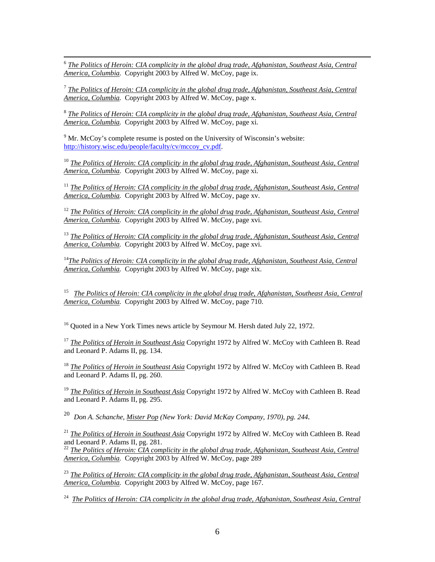6 *The Politics of Heroin: CIA complicity in the global drug trade, Afghanistan, Southeast Asia, Central America, Columbia.* Copyright 2003 by Alfred W. McCoy, page ix.

<sup>7</sup> *The Politics of Heroin: CIA complicity in the global drug trade, Afghanistan, Southeast Asia, Central America, Columbia.* Copyright 2003 by Alfred W. McCoy, page x.

<sup>8</sup> *The Politics of Heroin: CIA complicity in the global drug trade, Afghanistan, Southeast Asia, Central America, Columbia.* Copyright 2003 by Alfred W. McCoy, page xi.

 $9^9$  Mr. McCoy's complete resume is posted on the University of Wisconsin's website: http://history.wisc.edu/people/faculty/cv/mccoy\_cv.pdf.

<sup>10</sup> *The Politics of Heroin: CIA complicity in the global drug trade, Afghanistan, Southeast Asia, Central America, Columbia.* Copyright 2003 by Alfred W. McCoy, page xi.

<sup>11</sup> *The Politics of Heroin: CIA complicity in the global drug trade, Afghanistan, Southeast Asia, Central America, Columbia.* Copyright 2003 by Alfred W. McCoy, page xv.

<sup>12</sup> *The Politics of Heroin: CIA complicity in the global drug trade, Afghanistan, Southeast Asia, Central America, Columbia.* Copyright 2003 by Alfred W. McCoy, page xvi.

<sup>13</sup> *The Politics of Heroin: CIA complicity in the global drug trade, Afghanistan, Southeast Asia, Central America, Columbia.* Copyright 2003 by Alfred W. McCoy, page xvi.

<sup>14</sup>The Politics of Heroin: CIA complicity in the global drug trade, Afghanistan, Southeast Asia, Central *America, Columbia.* Copyright 2003 by Alfred W. McCoy, page xix.

15 *The Politics of Heroin: CIA complicity in the global drug trade, Afghanistan, Southeast Asia, Central America, Columbia.* Copyright 2003 by Alfred W. McCoy, page 710.

 $16$  Quoted in a New York Times news article by Seymour M. Hersh dated July 22, 1972.

<sup>17</sup> *The Politics of Heroin in Southeast Asia* Copyright 1972 by Alfred W. McCoy with Cathleen B. Read and Leonard P. Adams II, pg. 134.

<sup>18</sup> *The Politics of Heroin in Southeast Asia* Copyright 1972 by Alfred W. McCoy with Cathleen B. Read and Leonard P. Adams II, pg. 260.

<sup>19</sup> *The Politics of Heroin in Southeast Asia* Copyright 1972 by Alfred W. McCoy with Cathleen B. Read and Leonard P. Adams II, pg. 295.

20 *Don A. Schanche, Mister Pop (New York: David McKay Company, 1970), pg. 244.*

<sup>21</sup> *The Politics of Heroin in Southeast Asia* Copyright 1972 by Alfred W. McCoy with Cathleen B. Read and Leonard P. Adams II, pg. 281.

<sup>22</sup> *The Politics of Heroin: CIA complicity in the global drug trade, Afghanistan, Southeast Asia, Central America, Columbia.* Copyright 2003 by Alfred W. McCoy, page 289

<sup>23</sup> *The Politics of Heroin: CIA complicity in the global drug trade, Afghanistan, Southeast Asia, Central America, Columbia.* Copyright 2003 by Alfred W. McCoy, page 167.

24 *The Politics of Heroin: CIA complicity in the global drug trade, Afghanistan, Southeast Asia, Central*